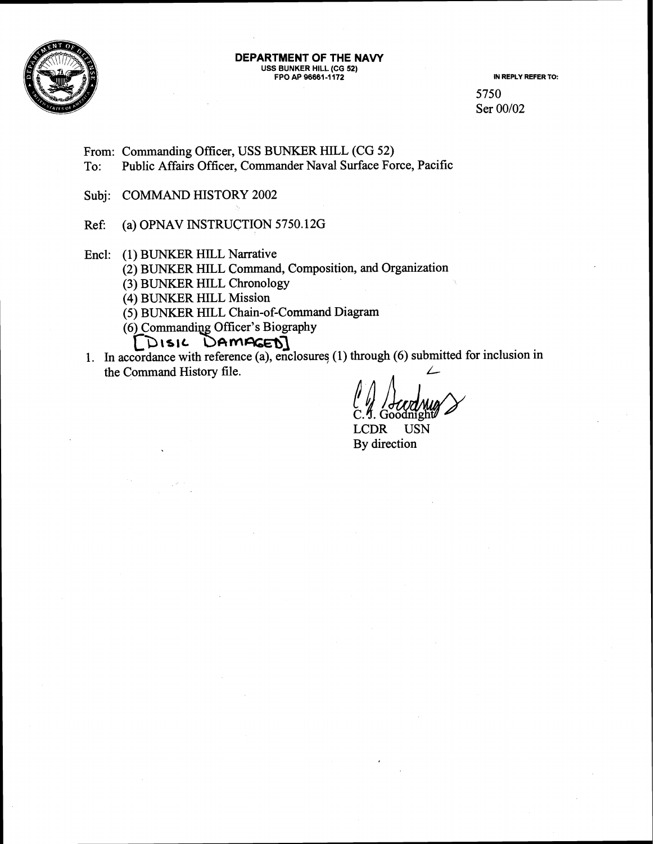

#### **DEPARTMENT OF THE NAW USS BUNKER HILL (CG 52)**  FPO AP 96661-1172 **IN REPLY REFER TO:**

5750 Ser 00/02

From: Commanding Officer, USS BUNKER HILL (CG 52)<br>To: Public Affairs Officer, Commander Naval Surface Fo Public Affairs Officer, Commander Naval Surface Force, Pacific

Subj: COMMAND HISTORY 2002

Ref: (a) OPNAV INSTRUCTION 5750.12G

Encl: (1) BUNKER HILL Narrative

(2) BUNKER HILL Command, Composition, and Organization

**(3)** BUNKER HILL Chronology

(4) BUNKER HILL Mission

(5) BUNKER HILL Chain-of-Command Diagram

[DISIL DAMAGED]

1. In accordance with reference (a), enclosures (1) through (6) submitted for inclusion in the Command History file.

LCDR USN By direction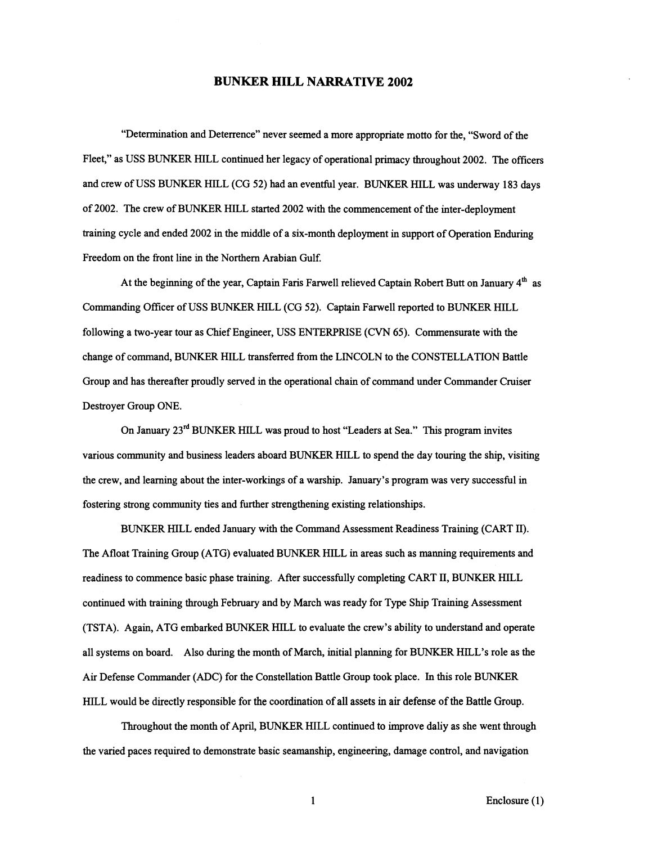#### **BUNKER HILL NARRATIVE 2002**

"Determination and Deterrence" never seemed a more appropriate motto for the, "Sword of the Fleet," as USS BUNKER HILL continued her legacy of operational primacy throughout 2002. The officers and crew of USS BUNKER HILL (CG 52) had an eventful year. BUNKER HILL was underway 183 days of 2002. The crew of BUNKER HILL started 2002 with the commencement of the inter-deployment training cycle and ended 2002 in the middle of a six-month deployment in support of Operation Enduring Freedom on the front line in the Northern Arabian Gulf.

At the beginning of the year, Captain Faris Farwell relieved Captain Robert Butt on January 4" as Commanding Officer of USS BUNKER HILL (CG 52). Captain Farwell reported to BUNKER HILL following a two-year tour as Chief Engineer, USS ENTERPRISE (CVN 65). Commensurate with the change of command, BUNKER HILL transferred fiom the LINCOLN to the CONSTELLATION Battle Group and has thereafter proudly served in the operational chain of command under Commander Cruiser Destroyer Group ONE.

On January 23<sup>rd</sup> BUNKER HILL was proud to host "Leaders at Sea." This program invites various community and business leaders aboard BUNKER HILL to spend the day touring the ship, visiting the crew, and learning about the inter-workings of a warship. January's program was very successful in fostering strong community ties and further strengthening existing relationships.

BUNKER HILL ended January with the Command Assessment Readiness Training (CART 11). The Afloat Training Group (ATG) evaluated BUNKER HILL in areas such as manning requirements and readiness to commence basic phase training. After successfully completing CART 11, BUNKER HILL continued with training through February and by March was ready for Type Ship Training Assessment (TSTA). Again, ATG embarked BUNKER HILL to evaluate the crew's ability to understand and operate all systems on board. Also during the month of March, initial planning for BUNKER HILL'S role as the Air Defense Commander (ADC) for the Constellation Battle Group took place. In this role BUNKER HILL would be directly responsible for the coordination of all assets in air defense of the Battle Group.

Throughout the month of April, BUNKER HILL continued to improve daliy as she went through the varied paces required to demonstrate basic seamanship, engineering, damage control, and navigation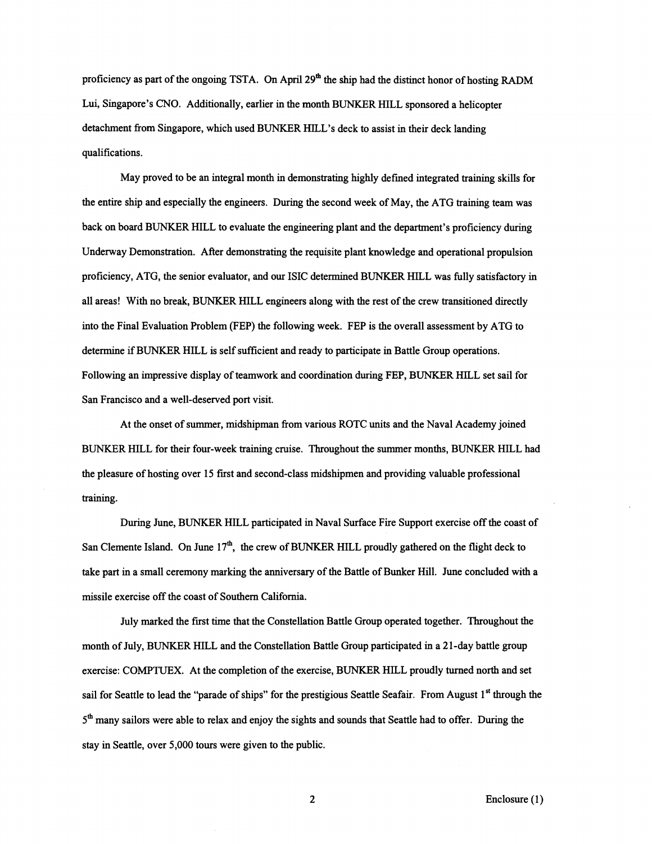proficiency as part of the ongoing TSTA. On April 29<sup>th</sup> the ship had the distinct honor of hosting RADM Lui, Singapore's CNO. Additionally, earlier in the month BUNKER HILL sponsored a helicopter detachment from Singapore, which used BUNKER HILL'S deck to assist in their deck landing qualifications.

May proved to be an integral month in demonstrating highly defined integrated training skills for the entire ship and especially the engineers. During the second week of May, the ATG training team was back on board BUNKER HILL to evaluate the engineering plant and the department's proficiency during Underway Demonstration. After demonstrating the requisite plant knowledge and operational propulsion proficiency, ATG, the senior evaluator, and our ISIC determined BUNKER HILL was fully satisfactory in all areas! With no break, BUNKER HILL engineers along with the rest of the crew transitioned directly into the Final Evaluation Problem (FEP) the following week. FEP is the overall assessment by ATG to determine if BUNKER HILL is self sufficient and ready to participate in Battle Group operations. Following an impressive display of teamwork and coordination during FEP, BUNKER HILL set sail for San Francisco and a well-deserved port visit.

At the onset of summer, midshipman from various ROTC units and the Naval Academy joined BUNKER HILL for their four-week training cruise. Throughout the summer months, BUNKER HILL had the pleasure of hosting over 15 first and second-class midshipmen and providing valuable professional training.

During June, BUNKER HILL participated in Naval Surface Fire Support exercise off the coast of San Clemente Island. On June 17<sup>th</sup>, the crew of BUNKER HILL proudly gathered on the flight deck to take part in a small ceremony marking the anniversary of the Battle of Bunker Hill. June concluded with a missile exercise off the coast of Southern Califomia.

July marked the first time that the Constellation Battle Group operated together. Throughout the month of July, BUNKER HILL and the Constellation Battle Group participated in a 21-day battle group exercise: COMPTUEX. At the completion of the exercise, BUNKER HILL proudly turned north and set sail for Seattle to lead the "parade of ships" for the prestigious Seattle Seafair. From August 1<sup>st</sup> through the 5<sup>th</sup> many sailors were able to relax and enjoy the sights and sounds that Seattle had to offer. During the stay in Seattle, over 5,000 tours were given to the public.

 $\overline{2}$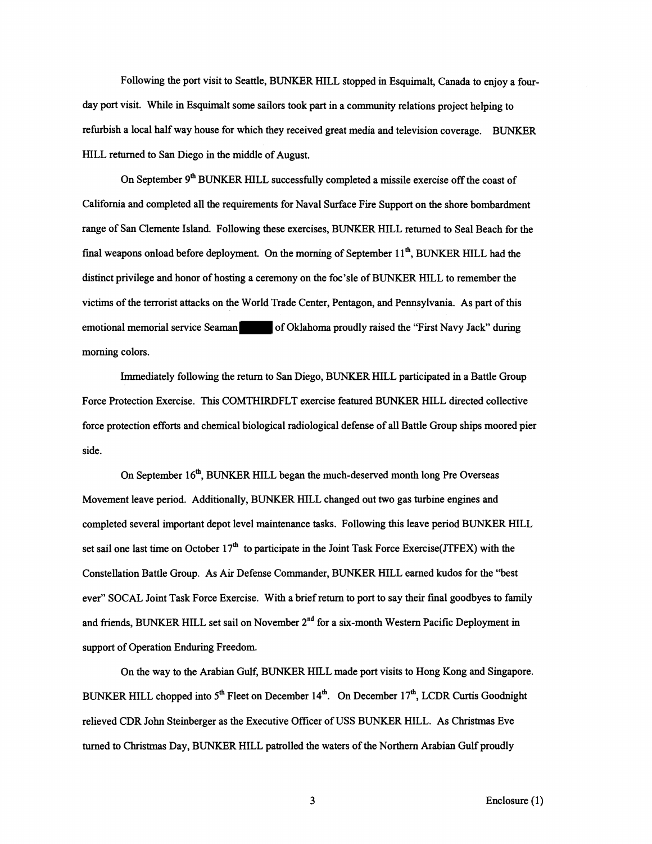Following the port visit to Seattle, BUNKER HILL stopped in Esquimalt, Canada to enjoy a fourday port visit. While in Esquimalt some sailors took part in a community relations project helping to refurbish a local half way house for which they received great media and television coverage. BUNKER HILL returned to San Diego in the middle of August.

On September 9<sup>th</sup> BUNKER HILL successfully completed a missile exercise off the coast of California and completed all the requirements for Naval Surface Fire Support on the shore bombardment range of San Clemente Island. Following these exercises, BUNKER HILL returned to Seal Beach for the final weapons onload before deployment. On the morning of September  $11<sup>th</sup>$ , BUNKER HILL had the distinct privilege and honor of hosting a ceremony on the foc'sle of BUNKER HILL to remember the victims of the terrorist attacks on the World Trade Center, Pentagon, and Pennsylvania. As part of this emotional memorial service Seaman of Oklahoma proudly raised the "First Navy Jack" during morning colors.

Immediately following the return to San Diego, BUNKER HILL participated in a Battle Group Force Protection Exercise. This COMTHIRDFLT exercise featured BUNKER HILL directed collective force protection efforts and chemical biological radiological defense of all Battle Group ships moored pier side.

On September 16<sup>th</sup>, BUNKER HILL began the much-deserved month long Pre Overseas Movement leave period. Additionally, BUNKER HILL changed out two gas turbine engines and completed several important depot level maintenance tasks. Following this leave period BUNKER HILL set sail one last time on October  $17<sup>th</sup>$  to participate in the Joint Task Force Exercise(JTFEX) with the Constellation Battle Group. As Air Defense Commander, BUNKER HILL earned kudos for the "best everi' SOCAL Joint Task Force Exercise. With a brief return to port to say their final goodbyes to family and friends, BUNKER HILL set sail on November 2<sup>nd</sup> for a six-month Western Pacific Deployment in support of Operation Enduring Freedom.

On the way to the Arabian Gulf, BUNKER HILL made port visits to Hong Kong and Singapore. BUNKER HILL chopped into  $5<sup>th</sup>$  Fleet on December 14<sup>th</sup>. On December 17<sup>th</sup>, LCDR Curtis Goodnight relieved CDR John Steinberger as the Executive Officer of USS BUNKER HILL. As Christmas Eve turned to Christmas Day, BUNKER HILL patrolled the waters of the Northern Arabian Gulf proudly

 $\overline{\mathbf{3}}$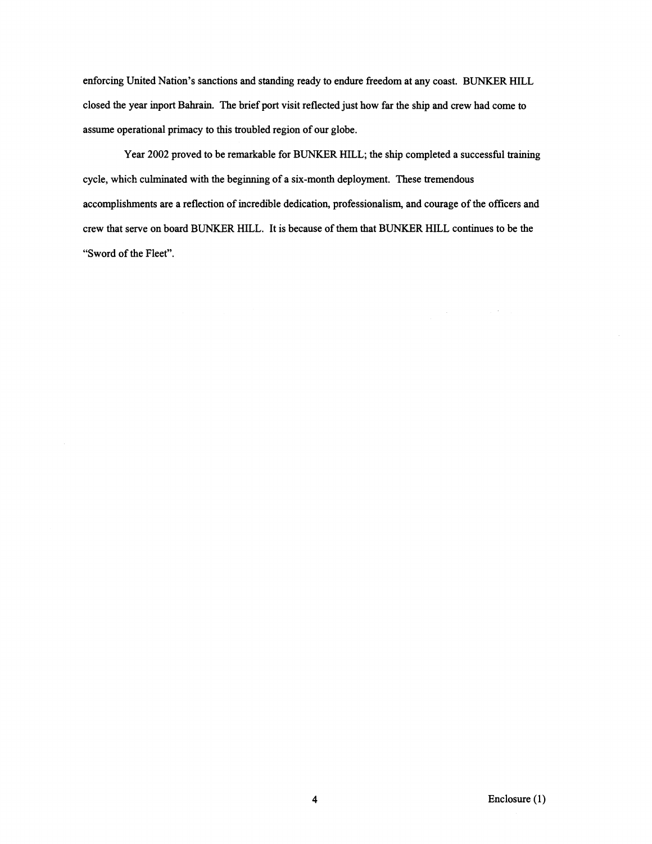enforcing United Nation's sanctions and standing ready to endure freedom at any coast. BUNKER HILL closed the year inport Bahrain. The brief port visit reflected just how far the ship and crew had come to assume operational primacy to this troubled region of our globe.

Year **2002** proved to be remarkable for BUNKER HILL; the ship completed a successhl training cycle, which culminated with the beginning of a six-month deployment. These tremendous accomplishments are a reflection of incredible dedication, professionalism, and courage of the officers and crew that serve on board BUNKER HILL. It is because of them that BUNKER HILL continues to be the "Sword of the Fleet".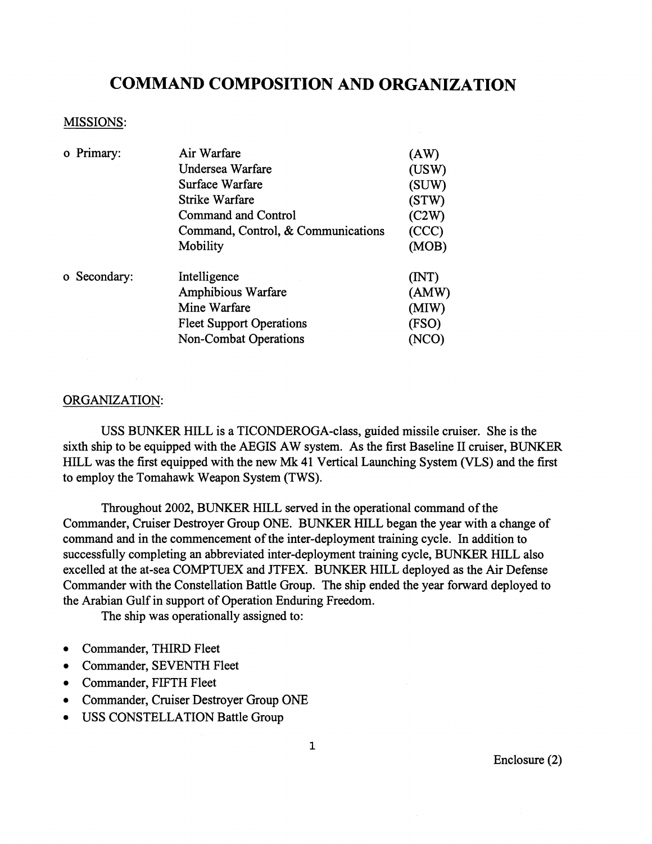## **COMMAND COMPOSITION AND ORGANIZATION**

#### MISSIONS:

|  | o Primary:   | Air Warfare                        | (AW)  |
|--|--------------|------------------------------------|-------|
|  |              | Undersea Warfare                   | (USW) |
|  |              | Surface Warfare                    | (SUW) |
|  |              | Strike Warfare                     | (STW) |
|  |              | <b>Command and Control</b>         | (C2W) |
|  |              | Command, Control, & Communications | (CCC) |
|  |              | Mobility                           | (MOB) |
|  | o Secondary: | Intelligence                       | (MT)  |
|  |              | Amphibious Warfare                 | (AMW) |
|  |              | Mine Warfare                       | (MIW) |
|  |              | <b>Fleet Support Operations</b>    | (FSO) |
|  |              | <b>Non-Combat Operations</b>       | (NCO) |

#### ORGANIZATION:

USS BUNKER HILL is a TICONDEROGA-class, guided missile cruiser. She is the sixth ship to be equipped with the AEGIS AW system. As the first Baseline II cruiser, BUNKER HILL was the first equipped with the new **Mk** 41 Vertical Launching System (VLS) and the first to employ the Tomahawk Weapon System (TWS).

Throughout 2002, BUNKER HILL served in the operational command of the Commander, Cruiser Destroyer Group ONE. BUNKER HILL began the year with a change of command and in the commencement of the inter-deployment training cycle. In addition to successfully completing an abbreviated inter-deployment training cycle, BUNKER HILL also excelled at the at-sea COMPTUEX and JTFEX. BUNKER HILL deployed as the Air Defense Commander with the Constellation Battle Group. The ship ended the year forward deployed to the Arabian Gulf in support of Operation Enduring Freedom.

The ship was operationally assigned to:

- Commander, THIRD Fleet  $\bullet$
- Commander, SEVENTH Fleet
- Commander, FIFTH Fleet
- Commander, Cruiser Destroyer Group ONE
- USS CONSTELLATION Battle Group

Enclosure **(2)** 

 $\mathbf{1}$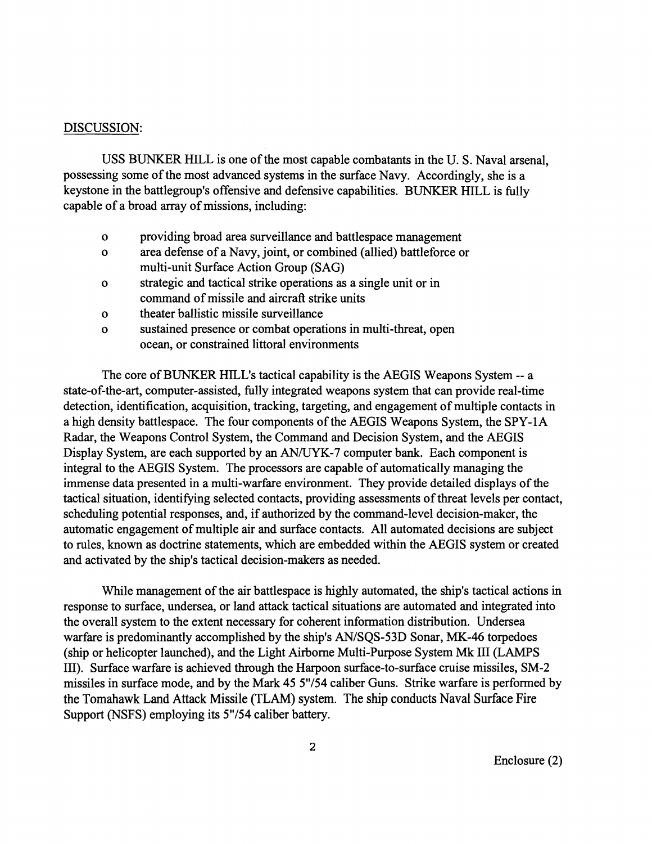#### DISCUSSION:

USS BUNKER HILL is one of the most capable combatants in the U. S. Naval arsenal, possessing some of the most advanced systems in the surface Navy. Accordingly, she is a keystone in the battlegroup's offensive and defensive capabilities. BUNKER HILL is fully capable of a broad array of missions, including:

- o providing broad area surveillance and battlespace management
- o area defense of a Navy, joint, or combined (allied) battleforce or multi-unit Surface Action Group (SAG)
- o strategic and tactical strike operations as a single unit or in command of missile and aircraft strike units
- o theater ballistic missile surveillance
- o sustained presence or combat operations in multi-threat, open ocean, or constrained littoral environments

The core of BUNKER HILL'S tactical capability is the AEGIS Weapons System -- a state-of-the-art, computer-assisted, fully integrated weapons system that can provide real-time detection, identification, acquisition, tracking, targeting, and engagement of multiple contacts in a high density battlespace. The four components of the AEGIS Weapons System, the SPY-1A Radar, the Weapons Control System, the Command and Decision System, and the AEGIS Display System, are each supported by an AN/UYK-7 computer bank. Each component is integral to the AEGIS System. The processors are capable of automatically managing the immense data presented in a multi-warfare environment. They provide detailed displays of the tactical situation, identifying selected contacts, providing assessments of threat levels per contact, scheduling potential responses, and, if authorized by the command-level decision-maker, the automatic engagement of multiple air and surface contacts. All automated decisions are subject to rules, known as doctrine statements, which are embedded within the AEGIS system or created and activated by the ship's tactical decision-makers as needed.

While management of the air battlespace is highly automated, the ship's tactical actions in response to surface, undersea, or land attack tactical situations are automated and integrated into the overall system to the extent necessary for coherent information distribution. Undersea warfare is predominantly accomplished by the ship's AN/SQS-53D Sonar, MK-46 torpedoes (ship or helicopter launched), and the Light Airbome Multi-Purpose System Mk I11 (LAMPS 111). Surface warfare is achieved through the Harpoon surface-to-surface cruise missiles, SM-2 missiles in surface mode, and by the Mark 45 5"/54 caliber Guns. Strike warfare is performed by the Tomahawk Land Attack Missile (TLAM) system. The ship conducts Naval Surface Fire Support (NSFS) employing its 5"/54 caliber battery.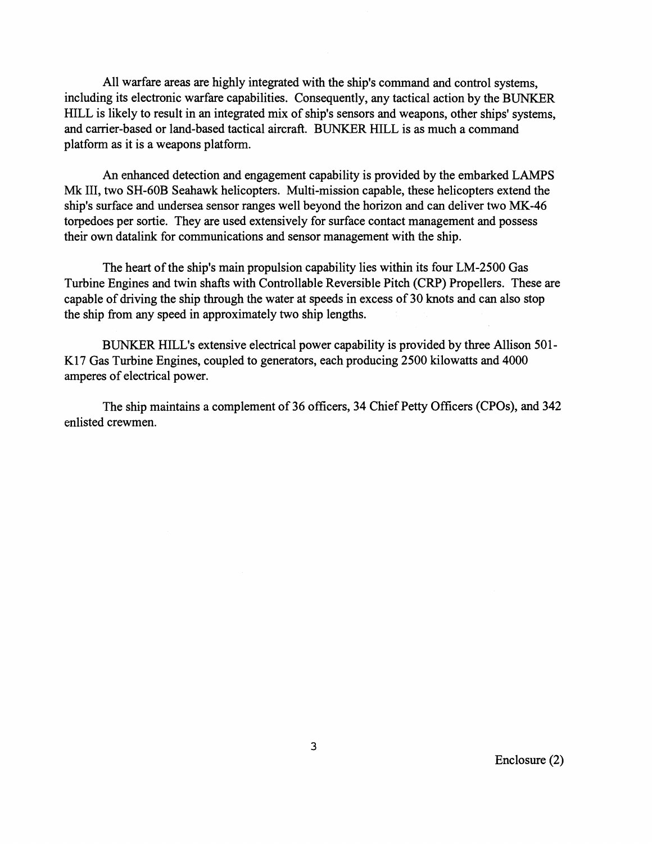All warfare areas are highly integrated with the ship's command and control systems, including its electronic warfare capabilities. Consequently, any tactical action by the BUNKER HILL is likely to result in an integrated mix of ship's sensors and weapons, other ships' systems, and carrier-based or land-based tactical aircraft. BUNKER HILL is as much a command platform as it is a weapons platform.

**An** enhanced detection and engagement capability is provided by the embarked LAMPS Mk 111, two SH-60B Seahawk helicopters. Multi-mission capable, these helicopters extend the ship's surface and undersea sensor ranges well beyond the horizon and can deliver two MK-46 torpedoes per sortie. They are used extensively for surface contact management and possess their own datalink for communications and sensor management with the ship.

The heart of the ship's main propulsion capability lies within its four LM-2500 Gas Turbine Engines and twin shafts with Controllable Reversible Pitch (CRP) Propellers. These are capable of driving the ship through the water at speeds in excess of 30 knots and can also stop the ship from any speed in approximately two ship lengths.

BUNKER HILL'S extensive electrical power capability is provided by three Allison 501- K17 Gas Turbine Engines, coupled to generators, each producing 2500 kilowatts and 4000 amperes of electrical power.

The ship maintains a complement of 36 officers, 34 Chief Petty Officers (CPOs), and 342 enlisted crewmen.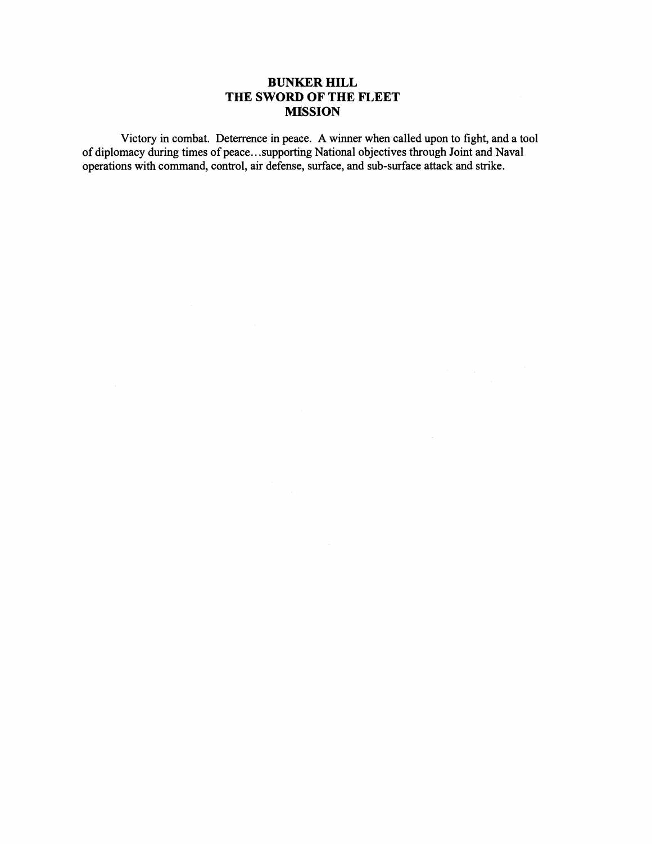#### **BUNKER HILL THE SWORD OF THE FLEET MISSION**

Victory in combat. Deterrence in peace. **A** winner when called upon to fight, and a tool of diplomacy during times of peace.. .supporting National objectives through Joint and Naval operations with command, control, air defense, surface, and sub-surface attack and strike.

 $\bar{\tau}$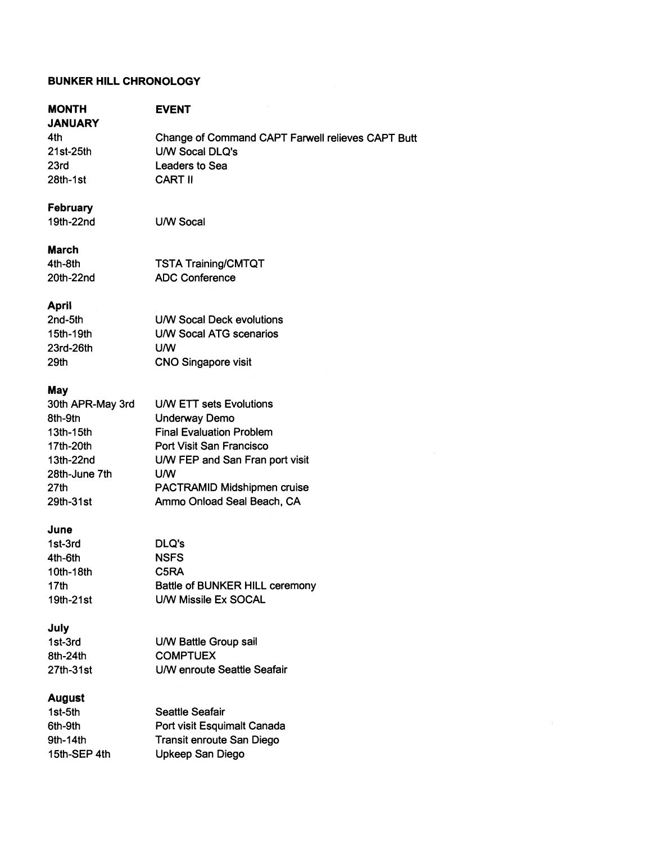#### **BUNKER HlLL CHRONOLOGY**

# **MONTH**

## **EVENT**

**JANUARY**  4th 21 st-25th 23rd 28th-1st

Change of Command CAPT Farwell relieves CAPT Butt UNV Socal DLQ's Leaders to Sea CART II

### **February**

1 9th-22nd

UNV Socal

TSTA Training/CMTQT ADC Conference

#### **March**

4th-8th 20th-22nd

#### **April**

| 2nd-5th   | U/W Socal Deck evolutions  |
|-----------|----------------------------|
| 15th-19th | U/W Socal ATG scenarios    |
| 23rd-26th | UM                         |
| 29th      | <b>CNO Singapore visit</b> |

#### **May**

| 30th APR-May 3rd | <b>U/W ETT sets Evolutions</b>  |
|------------------|---------------------------------|
| 8th-9th          | <b>Underway Demo</b>            |
| $13th-15th$      | <b>Final Evaluation Problem</b> |
| 17th-20th        | Port Visit San Francisco        |
| 13th-22nd        | U/W FEP and San Fran port visit |
| 28th-June 7th    | <b>U/W</b>                      |
| 27th             | PACTRAMID Midshipmen cruise     |
| 29th-31st        | Ammo Onload Seal Beach, CA      |

#### **June**

| 1st-3rd   | DLQ's                          |
|-----------|--------------------------------|
| 4th-6th   | <b>NSFS</b>                    |
| 10th-18th | C5RA                           |
| 17th      | Battle of BUNKER HILL ceremony |
| 19th-21st | U/W Missile Ex SOCAL           |

### **July**

| 1st-3rd   | U/W Battle Group sail       |
|-----------|-----------------------------|
| 8th-24th  | <b>COMPTUEX</b>             |
| 27th-31st | U/W enroute Seattle Seafair |

### **August**

| $1st-5th$    | <b>Seattle Seafair</b>      |
|--------------|-----------------------------|
| 6th-9th      | Port visit Esquimalt Canada |
| 9th-14th     | Transit enroute San Diego   |
| 15th-SEP 4th | Upkeep San Diego            |